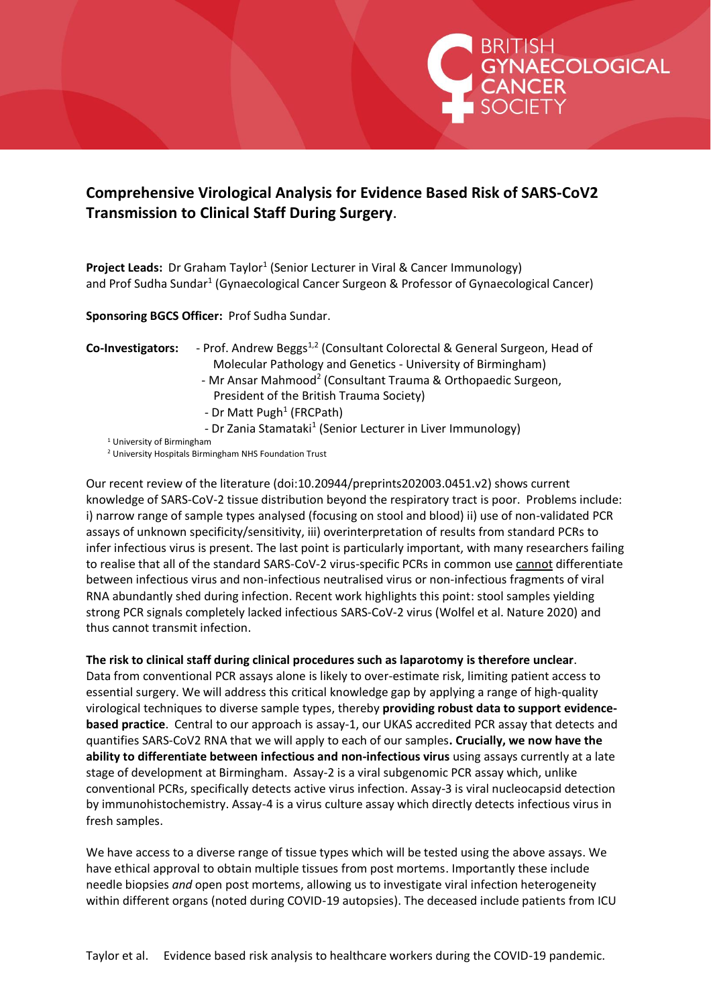## **Comprehensive Virological Analysis for Evidence Based Risk of SARS-CoV2 Transmission to Clinical Staff During Surgery**.

Project Leads: Dr Graham Taylor<sup>1</sup> (Senior Lecturer in Viral & Cancer Immunology) and Prof Sudha Sundar<sup>1</sup> (Gynaecological Cancer Surgeon & Professor of Gynaecological Cancer)

**Sponsoring BGCS Officer:** Prof Sudha Sundar.

## **Co-Investigators:** - Prof. Andrew Beggs<sup>1,2</sup> (Consultant Colorectal & General Surgeon, Head of Molecular Pathology and Genetics - University of Birmingham)

- Mr Ansar Mahmood<sup>2</sup> (Consultant Trauma & Orthopaedic Surgeon, President of the British Trauma Society)

BRITISH<br>GYNAECOLOGICAL<br>CANCER<br>ISOCIETY

- 
- Dr Matt Pugh<sup>1</sup> (FRCPath)
- Dr Zania Stamataki<sup>1</sup> (Senior Lecturer in Liver Immunology)
	- <sup>1</sup> University of Birmingham

<sup>2</sup> University Hospitals Birmingham NHS Foundation Trust

Our recent review of the literature (doi:10.20944/preprints202003.0451.v2) shows current knowledge of SARS-CoV-2 tissue distribution beyond the respiratory tract is poor. Problems include: i) narrow range of sample types analysed (focusing on stool and blood) ii) use of non-validated PCR assays of unknown specificity/sensitivity, iii) overinterpretation of results from standard PCRs to infer infectious virus is present. The last point is particularly important, with many researchers failing to realise that all of the standard SARS-CoV-2 virus-specific PCRs in common use cannot differentiate between infectious virus and non-infectious neutralised virus or non-infectious fragments of viral RNA abundantly shed during infection. Recent work highlights this point: stool samples yielding strong PCR signals completely lacked infectious SARS-CoV-2 virus (Wolfel et al. Nature 2020) and thus cannot transmit infection.

## **The risk to clinical staff during clinical procedures such as laparotomy is therefore unclear**.

Data from conventional PCR assays alone is likely to over-estimate risk, limiting patient access to essential surgery. We will address this critical knowledge gap by applying a range of high-quality virological techniques to diverse sample types, thereby **providing robust data to support evidencebased practice**. Central to our approach is assay-1, our UKAS accredited PCR assay that detects and quantifies SARS-CoV2 RNA that we will apply to each of our samples**. Crucially, we now have the ability to differentiate between infectious and non-infectious virus** using assays currently at a late stage of development at Birmingham. Assay-2 is a viral subgenomic PCR assay which, unlike conventional PCRs, specifically detects active virus infection. Assay-3 is viral nucleocapsid detection by immunohistochemistry. Assay-4 is a virus culture assay which directly detects infectious virus in fresh samples.

We have access to a diverse range of tissue types which will be tested using the above assays. We have ethical approval to obtain multiple tissues from post mortems. Importantly these include needle biopsies *and* open post mortems, allowing us to investigate viral infection heterogeneity within different organs (noted during COVID-19 autopsies). The deceased include patients from ICU